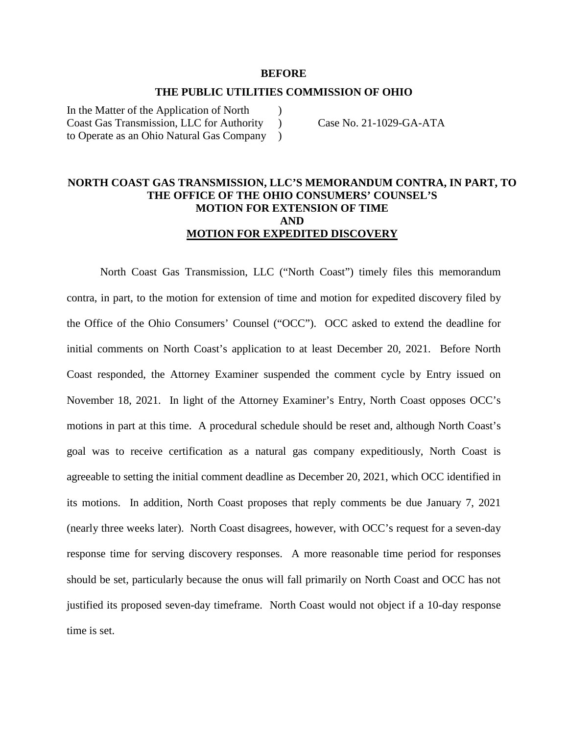#### **BEFORE**

# **THE PUBLIC UTILITIES COMMISSION OF OHIO**   $\mathcal{L}$

In the Matter of the Application of North Coast Gas Transmission, LLC for Authority to Operate as an Ohio Natural Gas Company  $\mathcal{L}$ )

Case No. 21-1029-GA-ATA

#### **NORTH COAST GAS TRANSMISSION, LLC'S MEMORANDUM CONTRA, IN PART, TO THE OFFICE OF THE OHIO CONSUMERS' COUNSEL'S MOTION FOR EXTENSION OF TIME AND MOTION FOR EXPEDITED DISCOVERY**

North Coast Gas Transmission, LLC ("North Coast") timely files this memorandum contra, in part, to the motion for extension of time and motion for expedited discovery filed by the Office of the Ohio Consumers' Counsel ("OCC"). OCC asked to extend the deadline for initial comments on North Coast's application to at least December 20, 2021. Before North Coast responded, the Attorney Examiner suspended the comment cycle by Entry issued on November 18, 2021. In light of the Attorney Examiner's Entry, North Coast opposes OCC's motions in part at this time. A procedural schedule should be reset and, although North Coast's goal was to receive certification as a natural gas company expeditiously, North Coast is agreeable to setting the initial comment deadline as December 20, 2021, which OCC identified in its motions. In addition, North Coast proposes that reply comments be due January 7, 2021 (nearly three weeks later). North Coast disagrees, however, with OCC's request for a seven-day response time for serving discovery responses. A more reasonable time period for responses should be set, particularly because the onus will fall primarily on North Coast and OCC has not justified its proposed seven-day timeframe. North Coast would not object if a 10-day response time is set.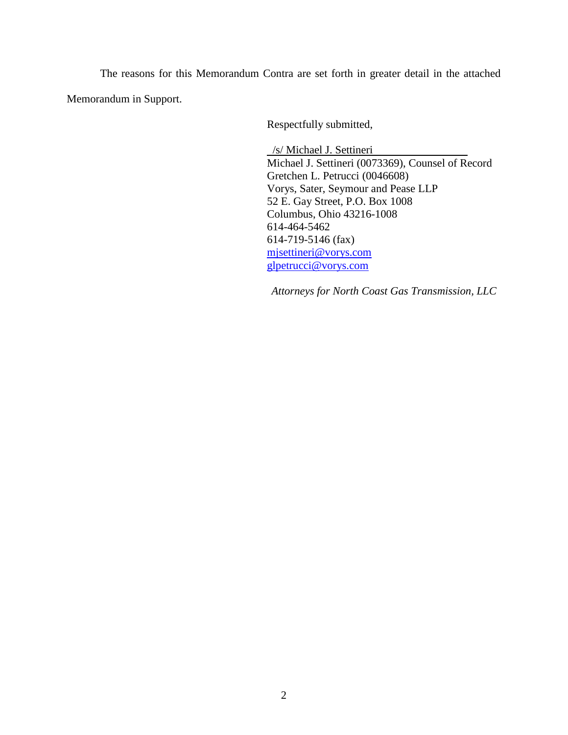The reasons for this Memorandum Contra are set forth in greater detail in the attached Memorandum in Support.

Respectfully submitted,

 /s/ Michael J. Settineri Michael J. Settineri (0073369), Counsel of Record Gretchen L. Petrucci (0046608) Vorys, Sater, Seymour and Pease LLP 52 E. Gay Street, P.O. Box 1008 Columbus, Ohio 43216-1008 614-464-5462 614-719-5146 (fax) mjsettineri@vorys.com glpetrucci@vorys.com

*Attorneys for North Coast Gas Transmission, LLC*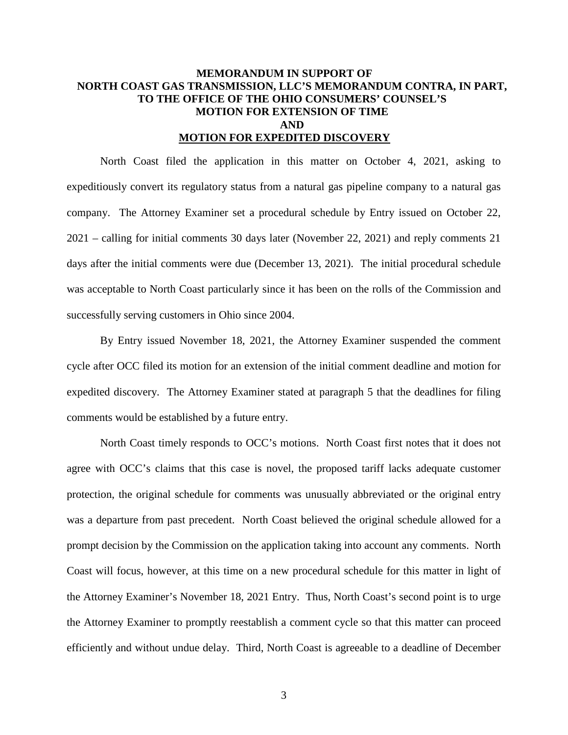### **MEMORANDUM IN SUPPORT OF NORTH COAST GAS TRANSMISSION, LLC'S MEMORANDUM CONTRA, IN PART, TO THE OFFICE OF THE OHIO CONSUMERS' COUNSEL'S MOTION FOR EXTENSION OF TIME AND MOTION FOR EXPEDITED DISCOVERY**

North Coast filed the application in this matter on October 4, 2021, asking to expeditiously convert its regulatory status from a natural gas pipeline company to a natural gas company. The Attorney Examiner set a procedural schedule by Entry issued on October 22, 2021 – calling for initial comments 30 days later (November 22, 2021) and reply comments 21 days after the initial comments were due (December 13, 2021). The initial procedural schedule was acceptable to North Coast particularly since it has been on the rolls of the Commission and successfully serving customers in Ohio since 2004.

By Entry issued November 18, 2021, the Attorney Examiner suspended the comment cycle after OCC filed its motion for an extension of the initial comment deadline and motion for expedited discovery. The Attorney Examiner stated at paragraph 5 that the deadlines for filing comments would be established by a future entry.

North Coast timely responds to OCC's motions. North Coast first notes that it does not agree with OCC's claims that this case is novel, the proposed tariff lacks adequate customer protection, the original schedule for comments was unusually abbreviated or the original entry was a departure from past precedent. North Coast believed the original schedule allowed for a prompt decision by the Commission on the application taking into account any comments. North Coast will focus, however, at this time on a new procedural schedule for this matter in light of the Attorney Examiner's November 18, 2021 Entry. Thus, North Coast's second point is to urge the Attorney Examiner to promptly reestablish a comment cycle so that this matter can proceed efficiently and without undue delay. Third, North Coast is agreeable to a deadline of December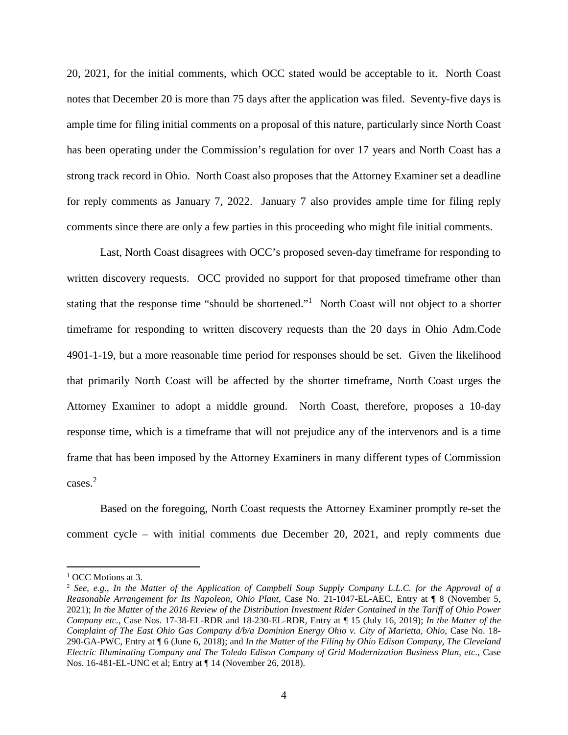20, 2021, for the initial comments, which OCC stated would be acceptable to it. North Coast notes that December 20 is more than 75 days after the application was filed. Seventy-five days is ample time for filing initial comments on a proposal of this nature, particularly since North Coast has been operating under the Commission's regulation for over 17 years and North Coast has a strong track record in Ohio. North Coast also proposes that the Attorney Examiner set a deadline for reply comments as January 7, 2022. January 7 also provides ample time for filing reply comments since there are only a few parties in this proceeding who might file initial comments.

Last, North Coast disagrees with OCC's proposed seven-day timeframe for responding to written discovery requests. OCC provided no support for that proposed timeframe other than stating that the response time "should be shortened."<sup>1</sup> North Coast will not object to a shorter timeframe for responding to written discovery requests than the 20 days in Ohio Adm.Code 4901-1-19, but a more reasonable time period for responses should be set. Given the likelihood that primarily North Coast will be affected by the shorter timeframe, North Coast urges the Attorney Examiner to adopt a middle ground. North Coast, therefore, proposes a 10-day response time, which is a timeframe that will not prejudice any of the intervenors and is a time frame that has been imposed by the Attorney Examiners in many different types of Commission cases.<sup>2</sup>

Based on the foregoing, North Coast requests the Attorney Examiner promptly re-set the comment cycle – with initial comments due December 20, 2021, and reply comments due

<sup>&</sup>lt;sup>1</sup> OCC Motions at 3.

<sup>2</sup> *See*, *e.g.*, *In the Matter of the Application of Campbell Soup Supply Company L.L.C. for the Approval of a Reasonable Arrangement for Its Napoleon, Ohio Plant*, Case No. 21-1047-EL-AEC, Entry at ¶ 8 (November 5, 2021); *In the Matter of the 2016 Review of the Distribution Investment Rider Contained in the Tariff of Ohio Power Company etc.*, Case Nos. 17-38-EL-RDR and 18-230-EL-RDR, Entry at ¶ 15 (July 16, 2019); *In the Matter of the Complaint of The East Ohio Gas Company d/b/a Dominion Energy Ohio v. City of Marietta, Ohio*, Case No. 18- 290-GA-PWC, Entry at ¶ 6 (June 6, 2018); and *In the Matter of the Filing by Ohio Edison Company, The Cleveland Electric Illuminating Company and The Toledo Edison Company of Grid Modernization Business Plan, etc.*, Case Nos. 16-481-EL-UNC et al; Entry at ¶ 14 (November 26, 2018).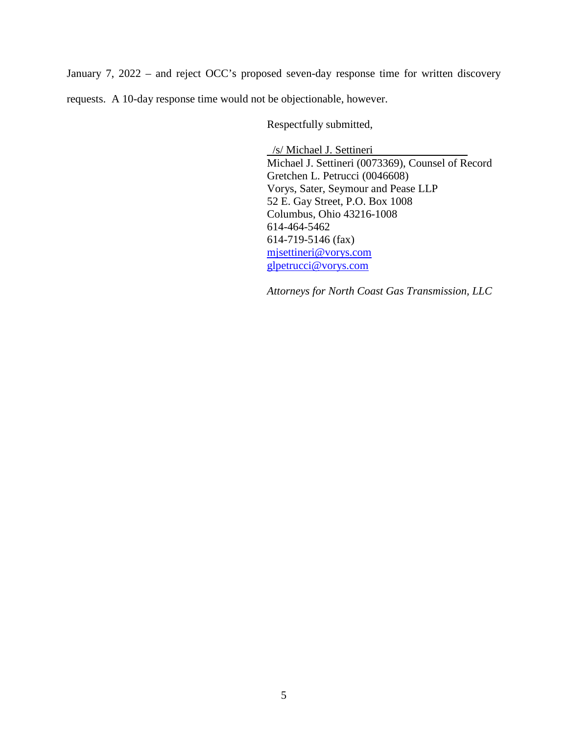January 7, 2022 – and reject OCC's proposed seven-day response time for written discovery requests. A 10-day response time would not be objectionable, however.

Respectfully submitted,

 /s/ Michael J. Settineri Michael J. Settineri (0073369), Counsel of Record Gretchen L. Petrucci (0046608) Vorys, Sater, Seymour and Pease LLP 52 E. Gay Street, P.O. Box 1008 Columbus, Ohio 43216-1008 614-464-5462 614-719-5146 (fax) mjsettineri@vorys.com glpetrucci@vorys.com

*Attorneys for North Coast Gas Transmission, LLC*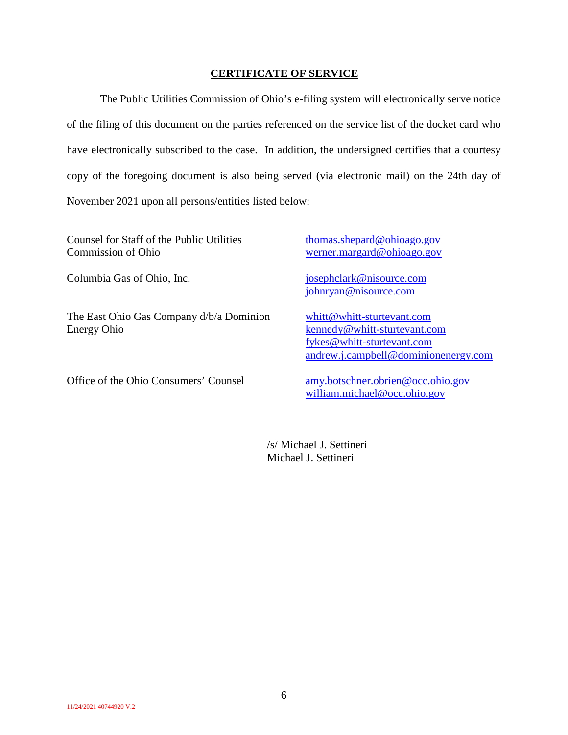#### **CERTIFICATE OF SERVICE**

The Public Utilities Commission of Ohio's e-filing system will electronically serve notice of the filing of this document on the parties referenced on the service list of the docket card who have electronically subscribed to the case. In addition, the undersigned certifies that a courtesy copy of the foregoing document is also being served (via electronic mail) on the 24th day of November 2021 upon all persons/entities listed below:

Counsel for Staff of the Public Utilities Commission of Ohio

Columbia Gas of Ohio, Inc. josephclark@nisource.com

The East Ohio Gas Company d/b/a Dominion Energy Ohio

Office of the Ohio Consumers' Counsel amy.botschner.obrien@occ.ohio.gov

thomas.shepard@ohioago.gov werner.margard@ohioago.gov

johnryan@nisource.com

whitt@whitt-sturtevant.com kennedy@whitt-sturtevant.com fykes@whitt-sturtevant.com andrew.j.campbell@dominionenergy.com

william.michael@occ.ohio.gov

/s/ Michael J. Settineri Michael J. Settineri